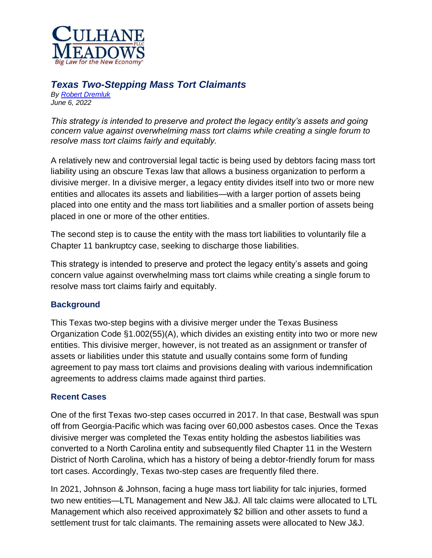

# *Texas Two-Stepping Mass Tort Claimants*

*By [Robert Dremluk](https://www.culhanemeadows.com/attorney/robert-dremluk/) June 6, 2022*

*This strategy is intended to preserve and protect the legacy entity's assets and going concern value against overwhelming mass tort claims while creating a single forum to resolve mass tort claims fairly and equitably.*

A relatively new and controversial legal tactic is being used by debtors facing mass tort liability using an obscure Texas law that allows a business organization to perform a divisive merger. In a divisive merger, a legacy entity divides itself into two or more new entities and allocates its assets and liabilities—with a larger portion of assets being placed into one entity and the mass tort liabilities and a smaller portion of assets being placed in one or more of the other entities.

The second step is to cause the entity with the mass tort liabilities to voluntarily file a Chapter 11 bankruptcy case, seeking to discharge those liabilities.

This strategy is intended to preserve and protect the legacy entity's assets and going concern value against overwhelming mass tort claims while creating a single forum to resolve mass tort claims fairly and equitably.

# **Background**

This Texas two-step begins with a divisive merger under the Texas Business Organization Code §1.002(55)(A), which divides an existing entity into two or more new entities. This divisive merger, however, is not treated as an assignment or transfer of assets or liabilities under this statute and usually contains some form of funding agreement to pay mass tort claims and provisions dealing with various indemnification agreements to address claims made against third parties.

### **Recent Cases**

One of the first Texas two-step cases occurred in 2017. In that case, Bestwall was spun off from Georgia-Pacific which was facing over 60,000 asbestos cases. Once the Texas divisive merger was completed the Texas entity holding the asbestos liabilities was converted to a North Carolina entity and subsequently filed Chapter 11 in the Western District of North Carolina, which has a history of being a debtor-friendly forum for mass tort cases. Accordingly, Texas two-step cases are frequently filed there.

In 2021, Johnson & Johnson, facing a huge mass tort liability for talc injuries, formed two new entities—LTL Management and New J&J. All talc claims were allocated to LTL Management which also received approximately \$2 billion and other assets to fund a settlement trust for talc claimants. The remaining assets were allocated to New J&J.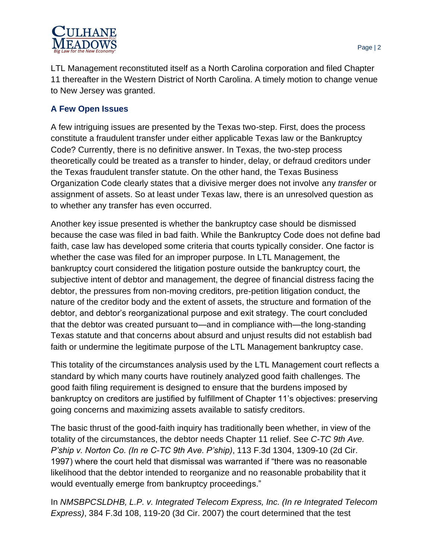

LTL Management reconstituted itself as a North Carolina corporation and filed Chapter 11 thereafter in the Western District of North Carolina. A timely motion to change venue to New Jersey was granted.

# **A Few Open Issues**

A few intriguing issues are presented by the Texas two-step. First, does the process constitute a fraudulent transfer under either applicable Texas law or the Bankruptcy Code? Currently, there is no definitive answer. In Texas, the two-step process theoretically could be treated as a transfer to hinder, delay, or defraud creditors under the Texas fraudulent transfer statute. On the other hand, the Texas Business Organization Code clearly states that a divisive merger does not involve any *transfer* or assignment of assets. So at least under Texas law, there is an unresolved question as to whether any transfer has even occurred.

Another key issue presented is whether the bankruptcy case should be dismissed because the case was filed in bad faith. While the Bankruptcy Code does not define bad faith, case law has developed some criteria that courts typically consider. One factor is whether the case was filed for an improper purpose. In LTL Management, the bankruptcy court considered the litigation posture outside the bankruptcy court, the subjective intent of debtor and management, the degree of financial distress facing the debtor, the pressures from non-moving creditors, pre-petition litigation conduct, the nature of the creditor body and the extent of assets, the structure and formation of the debtor, and debtor's reorganizational purpose and exit strategy. The court concluded that the debtor was created pursuant to—and in compliance with—the long-standing Texas statute and that concerns about absurd and unjust results did not establish bad faith or undermine the legitimate purpose of the LTL Management bankruptcy case.

This totality of the circumstances analysis used by the LTL Management court reflects a standard by which many courts have routinely analyzed good faith challenges. The good faith filing requirement is designed to ensure that the burdens imposed by bankruptcy on creditors are justified by fulfillment of Chapter 11's objectives: preserving going concerns and maximizing assets available to satisfy creditors.

The basic thrust of the good-faith inquiry has traditionally been whether, in view of the totality of the circumstances, the debtor needs Chapter 11 relief. See *C-TC 9th Ave. P'ship v. Norton Co. (In re C-TC 9th Ave. P'ship)*, 113 F.3d 1304, 1309-10 (2d Cir. 1997) where the court held that dismissal was warranted if "there was no reasonable likelihood that the debtor intended to reorganize and no reasonable probability that it would eventually emerge from bankruptcy proceedings."

In *NMSBPCSLDHB, L.P. v. Integrated Telecom Express, Inc. (In re Integrated Telecom Express)*, 384 F.3d 108, 119-20 (3d Cir. 2007) the court determined that the test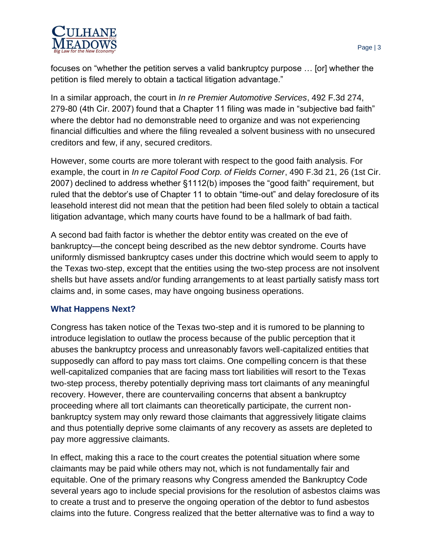

focuses on "whether the petition serves a valid bankruptcy purpose … [or] whether the petition is filed merely to obtain a tactical litigation advantage."

In a similar approach, the court in *In re Premier Automotive Services*, 492 F.3d 274, 279-80 (4th Cir. 2007) found that a Chapter 11 filing was made in "subjective bad faith" where the debtor had no demonstrable need to organize and was not experiencing financial difficulties and where the filing revealed a solvent business with no unsecured creditors and few, if any, secured creditors.

However, some courts are more tolerant with respect to the good faith analysis. For example, the court in *In re Capitol Food Corp. of Fields Corner*, 490 F.3d 21, 26 (1st Cir. 2007) declined to address whether §1112(b) imposes the "good faith" requirement, but ruled that the debtor's use of Chapter 11 to obtain "time-out" and delay foreclosure of its leasehold interest did not mean that the petition had been filed solely to obtain a tactical litigation advantage, which many courts have found to be a hallmark of bad faith.

A second bad faith factor is whether the debtor entity was created on the eve of bankruptcy—the concept being described as the new debtor syndrome. Courts have uniformly dismissed bankruptcy cases under this doctrine which would seem to apply to the Texas two-step, except that the entities using the two-step process are not insolvent shells but have assets and/or funding arrangements to at least partially satisfy mass tort claims and, in some cases, may have ongoing business operations.

### **What Happens Next?**

Congress has taken notice of the Texas two-step and it is rumored to be planning to introduce legislation to outlaw the process because of the public perception that it abuses the bankruptcy process and unreasonably favors well-capitalized entities that supposedly can afford to pay mass tort claims. One compelling concern is that these well-capitalized companies that are facing mass tort liabilities will resort to the Texas two-step process, thereby potentially depriving mass tort claimants of any meaningful recovery. However, there are countervailing concerns that absent a bankruptcy proceeding where all tort claimants can theoretically participate, the current nonbankruptcy system may only reward those claimants that aggressively litigate claims and thus potentially deprive some claimants of any recovery as assets are depleted to pay more aggressive claimants.

In effect, making this a race to the court creates the potential situation where some claimants may be paid while others may not, which is not fundamentally fair and equitable. One of the primary reasons why Congress amended the Bankruptcy Code several years ago to include special provisions for the resolution of asbestos claims was to create a trust and to preserve the ongoing operation of the debtor to fund asbestos claims into the future. Congress realized that the better alternative was to find a way to